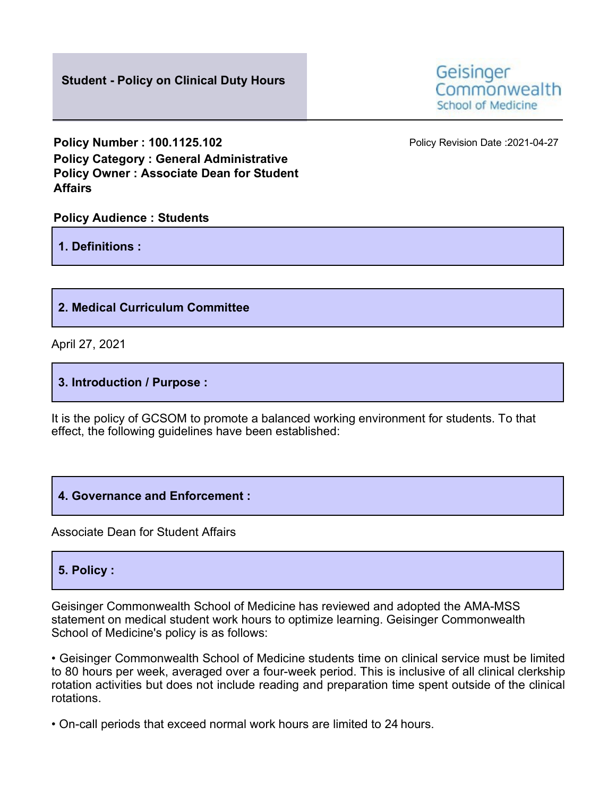

**Policy Number : 100.1125.102 Policy Revision Date :2021-04-27 Policy Category : General Administrative Policy Owner : Associate Dean for Student Affairs**

#### **Policy Audience : Students**

**1. Definitions :**

## **2. Medical Curriculum Committee**

April 27, 2021

### **3. Introduction / Purpose :**

It is the policy of GCSOM to promote a balanced working environment for students. To that effect, the following guidelines have been established:

#### **4. Governance and Enforcement :**

Associate Dean for Student Affairs

## **5. Policy :**

Geisinger Commonwealth School of Medicine has reviewed and adopted the AMA-MSS statement on medical student work hours to optimize learning. Geisinger Commonwealth School of Medicine's policy is as follows:

• Geisinger Commonwealth School of Medicine students time on clinical service must be limited to 80 hours per week, averaged over a four-week period. This is inclusive of all clinical clerkship rotation activities but does not include reading and preparation time spent outside of the clinical rotations.

• On-call periods that exceed normal work hours are limited to 24 hours.